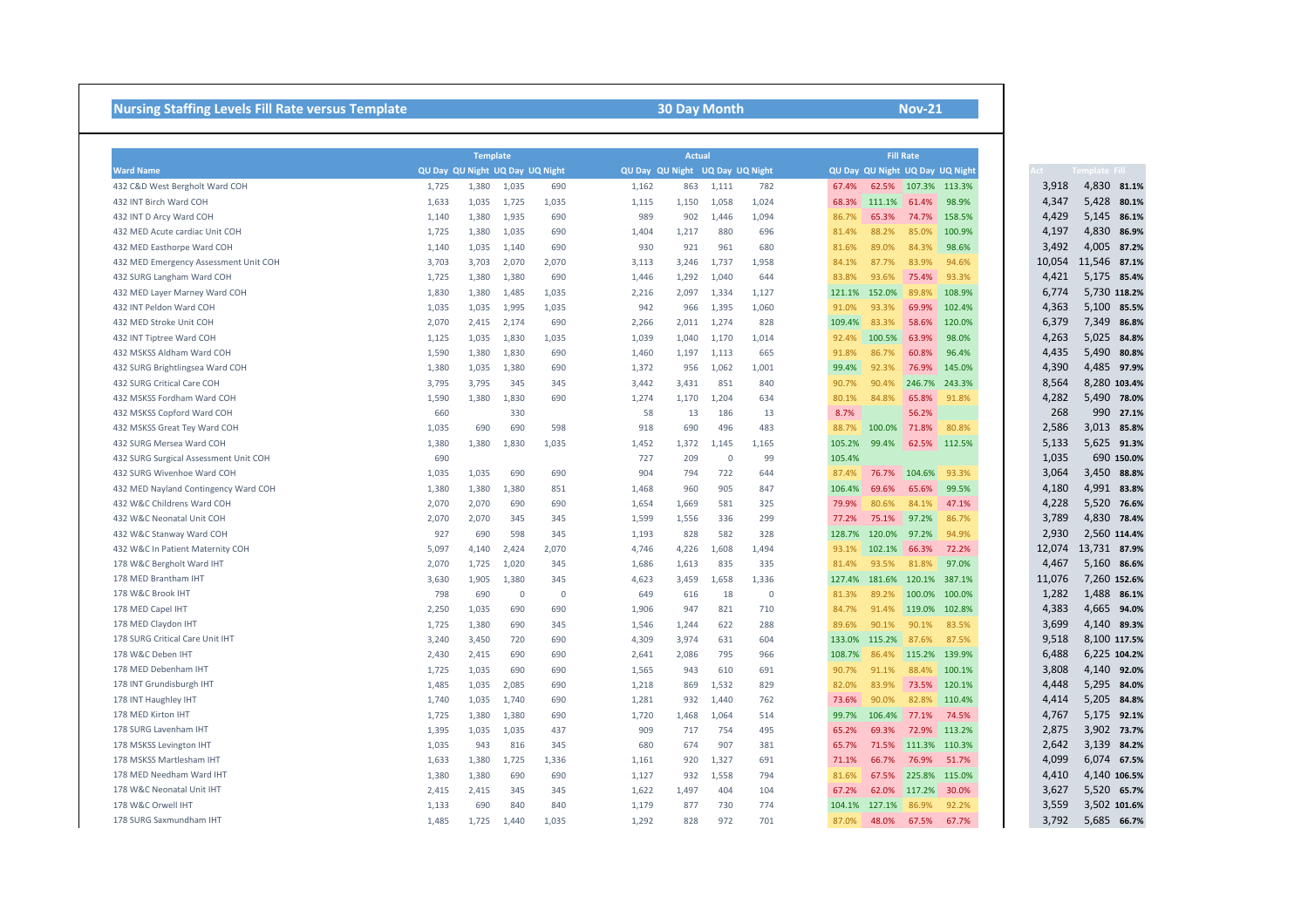## **Nursing Staffing Levels Fill Rate versus Template 1989 12:30 Day Month 30 Day Month 1989 12:30 Day Month Nov-21**

|                                       |                                 | <b>Template</b> |             |       |       | <b>Actual</b>                   |             |       |        |                     | <b>Fill Rate</b>   |                                 |        |                 |
|---------------------------------------|---------------------------------|-----------------|-------------|-------|-------|---------------------------------|-------------|-------|--------|---------------------|--------------------|---------------------------------|--------|-----------------|
| <b>Ward Name</b>                      | QU Day QU Night UQ Day UQ Night |                 |             |       |       | QU Day QU Night UQ Day UQ Night |             |       |        |                     |                    | QU Day QU Night UQ Day UQ Night | ct -   | Template Fill I |
| 432 C&D West Bergholt Ward COH        | 1,725                           | 1,380           | 1,035       | 690   | 1,162 | 863                             | 1,111       | 782   | 67.4%  |                     |                    | 62.5% 107.3% 113.3%             | 3,918  | 4,830 81.1%     |
| 432 INT Birch Ward COH                | 1,633                           | 1,035           | 1,725       | 1,035 | 1,115 | 1,150                           | 1,058       | 1,024 | 68.3%  | 111.1%              | 61.4%              | 98.9%                           | 4,347  | 5,428<br>80.1%  |
| 432 INT D Arcy Ward COH               | 1,140                           | 1,380           | 1,935       | 690   | 989   | 902                             | 1,446       | 1,094 | 86.7%  | 65.3%               | 74.7%              | 158.5%                          | 4,429  | 5,145<br>86.1%  |
| 432 MED Acute cardiac Unit COH        | 1,725                           | 1,380           | 1,035       | 690   | 1,404 | 1,217                           | 880         | 696   | 81.4%  | 88.2%               | 85.0%              | 100.9%                          | 4,197  | 4,830<br>86.9%  |
| 432 MED Easthorpe Ward COH            | 1,140                           | 1,035           | 1,140       | 690   | 930   | 921                             | 961         | 680   | 81.6%  | 89.0%               | 84.3%              | 98.6%                           | 3,492  | 4,005 87.2%     |
| 432 MED Emergency Assessment Unit COH | 3,703                           | 3,703           | 2,070       | 2,070 | 3,113 | 3,246                           | 1,737       | 1,958 | 84.1%  | 87.7%               | 83.9%              | 94.6%                           | 10,054 | 11,546<br>87.1% |
| 432 SURG Langham Ward COH             | 1,725                           | 1,380           | 1,380       | 690   | 1,446 | 1,292                           | 1,040       | 644   | 83.8%  | 93.6%               | 75.4%              | 93.3%                           | 4,421  | 5,175 85.4%     |
| 432 MED Layer Marney Ward COH         | 1,830                           | 1,380           | 1,485       | 1,035 | 2,216 | 2,097                           | 1,334       | 1,127 | 121.1% | 152.0%              | 89.8%              | 108.9%                          | 6,774  | 5,730 118.2%    |
| 432 INT Peldon Ward COH               | 1,035                           | 1,035           | 1,995       | 1,035 | 942   | 966                             | 1,395       | 1,060 | 91.0%  | 93.3%               | 69.9%              | 102.4%                          | 4,363  | 5,100<br>85.5%  |
| 432 MED Stroke Unit COH               | 2,070                           | 2,415           | 2,174       | 690   | 2,266 | 2,011                           | 1,274       | 828   | 109.4% | 83.3%               | 58.6%              | 120.0%                          | 6,379  | 7,349<br>86.8%  |
| 432 INT Tiptree Ward COH              | 1,125                           | 1,035           | 1,830       | 1,035 | 1,039 | 1,040                           | 1,170       | 1,014 | 92.4%  | 100.5%              | 63.9%              | 98.0%                           | 4,263  | 5,025 84.8%     |
| 432 MSKSS Aldham Ward COH             | 1,590                           | 1,380           | 1,830       | 690   | 1,460 | 1,197                           | 1,113       | 665   | 91.8%  | 86.7%               | 60.8%              | 96.4%                           | 4,435  | 5,490<br>80.8%  |
| 432 SURG Brightlingsea Ward COH       | 1,380                           | 1,035           | 1,380       | 690   | 1,372 | 956                             | 1,062       | 1,001 | 99.4%  | 92.3%               | 76.9%              | 145.0%                          | 4,390  | 4,485 97.9%     |
| 432 SURG Critical Care COH            | 3,795                           | 3,795           | 345         | 345   | 3,442 | 3,431                           | 851         | 840   | 90.7%  | 90.4%               | 246.7%             | 243.3%                          | 8,564  | 8,280 103.4%    |
| 432 MSKSS Fordham Ward COH            | 1,590                           | 1,380           | 1,830       | 690   | 1,274 | 1,170                           | 1,204       | 634   | 80.1%  | 84.8%               | 65.8%              | 91.8%                           | 4,282  | 5,490 78.0%     |
| 432 MSKSS Copford Ward COH            | 660                             |                 | 330         |       | 58    | 13                              | 186         | 13    | 8.7%   |                     | 56.2%              |                                 | 268    | 990 27.1%       |
| 432 MSKSS Great Tey Ward COH          | 1,035                           | 690             | 690         | 598   | 918   | 690                             | 496         | 483   | 88.7%  | 100.0%              | 71.8%              | 80.8%                           | 2,586  | 3,013 85.8%     |
| 432 SURG Mersea Ward COH              | 1,380                           | 1,380           | 1,830       | 1,035 | 1,452 | 1,372                           | 1,145       | 1,165 | 105.2% | 99.4%               | 62.5%              | 112.5%                          | 5,133  | 5,625 91.3%     |
| 432 SURG Surgical Assessment Unit COH | 690                             |                 |             |       | 727   | 209                             | $\mathbf 0$ | 99    | 105.4% |                     |                    |                                 | 1,035  | 690 150.0%      |
| 432 SURG Wivenhoe Ward COH            | 1,035                           | 1,035           | 690         | 690   | 904   | 794                             | 722         | 644   | 87.4%  | 76.7%               | 104.6%             | 93.3%                           | 3,064  | 3,450 88.8%     |
| 432 MED Nayland Contingency Ward COH  | 1,380                           | 1,380           | 1,380       | 851   | 1,468 | 960                             | 905         | 847   | 106.4% | 69.6%               | 65.6%              | 99.5%                           | 4,180  | 4,991 83.8%     |
| 432 W&C Childrens Ward COH            | 2,070                           | 2,070           | 690         | 690   | 1,654 | 1,669                           | 581         | 325   | 79.9%  | 80.6%               | 84.1%              | 47.1%                           | 4,228  | 5,520 76.6%     |
| 432 W&C Neonatal Unit COH             | 2,070                           | 2,070           | 345         | 345   | 1,599 | 1,556                           | 336         | 299   | 77.2%  | 75.1%               | 97.2%              | 86.7%                           | 3,789  | 4,830 78.4%     |
| 432 W&C Stanway Ward COH              | 927                             | 690             | 598         | 345   | 1,193 | 828                             | 582         | 328   | 128.7% | 120.0%              | 97.2%              | 94.9%                           | 2,930  | 2,560 114.4%    |
| 432 W&C In Patient Maternity COH      | 5,097                           | 4,140           | 2,424       | 2,070 | 4,746 | 4,226                           | 1,608       | 1,494 | 93.1%  | 102.1%              | 66.3%              | 72.2%                           | 12,074 | 13,731 87.9%    |
| 178 W&C Bergholt Ward IHT             | 2,070                           | 1,725           | 1,020       | 345   | 1,686 | 1,613                           | 835         | 335   | 81.4%  | 93.5%               | 81.8%              | 97.0%                           | 4,467  | 5,160 86.6%     |
| 178 MED Brantham IHT                  | 3,630                           | 1,905           | 1,380       | 345   | 4,623 | 3,459                           | 1,658       | 1,336 | 127.4% | 181.6%              | 120.1%             | 387.1%                          | 11,076 | 7,260 152.6%    |
| 178 W&C Brook IHT                     | 798                             | 690             | $\mathbf 0$ | 0     | 649   | 616                             | 18          | 0     | 81.3%  | 89.2%               | 100.0%             | 100.0%                          | 1,282  | 1,488 86.1%     |
| 178 MED Capel IHT                     | 2,250                           | 1,035           | 690         | 690   | 1,906 | 947                             | 821         | 710   | 84.7%  | 91.4%               | 119.0%             | 102.8%                          | 4,383  | 4,665<br>94.0%  |
| 178 MED Claydon IHT                   | 1,725                           | 1,380           | 690         | 345   | 1,546 | 1,244                           | 622         | 288   | 89.6%  | 90.1%               | $90.1\%$           | 83.5%                           | 3,699  | 4,140 89.3%     |
| 178 SURG Critical Care Unit IHT       | 3,240                           | 3,450           | 720         | 690   | 4,309 | 3,974                           | 631         | 604   |        | 133.0% 115.2%       | 87.6%              | 87.5%                           | 9,518  | 8,100 117.5%    |
| 178 W&C Deben IHT                     | 2,430                           | 2,415           | 690         | 690   | 2,641 | 2,086                           | 795         | 966   | 108.7% | 86.4%               |                    | 115.2% 139.9%                   | 6,488  | 6,225 104.2%    |
| 178 MED Debenham IHT                  | 1,725                           | 1,035           | 690         | 690   | 1,565 | 943                             | 610         | 691   | 90.7%  | 91.1%               |                    | 88.4% 100.1%                    | 3,808  | 4,140 92.0%     |
| 178 INT Grundisburgh IHT              | 1,485                           | 1,035           | 2,085       | 690   | 1,218 | 869                             | 1,532       | 829   | 82.0%  | 83.9%               |                    | 73.5% 120.1%                    | 4,448  | 5,295 84.0%     |
| 178 INT Haughley IHT                  | 1,740                           | 1,035           | 1,740       | 690   | 1,281 | 932                             | 1,440       | 762   | 73.6%  | 90.0%               |                    | 82.8% 110.4%                    | 4,414  | 5,205 84.8%     |
| 178 MED Kirton IHT                    | 1,725                           | 1,380           | 1,380       | 690   | 1,720 | 1,468                           | 1,064       | 514   | 99.7%  | 106.4%              | 77.1%              | 74.5%                           | 4,767  | 5,175 92.1%     |
| 178 SURG Lavenham IHT                 | 1,395                           | 1,035           | 1,035       | 437   | 909   | 717                             | 754         | 495   | 65.2%  | 69.3%               |                    | 72.9% 113.2%                    | 2,875  | 3,902 73.7%     |
| 178 MSKSS Levington IHT               | 1,035                           | 943             | 816         | 345   | 680   | 674                             | 907         | 381   | 65.7%  |                     |                    | 71.5% 111.3% 110.3%             | 2,642  | 3,139 84.2%     |
| 178 MSKSS Martlesham IHT              | 1,633                           | 1,380           | 1,725       | 1,336 | 1,161 | 920                             | 1,327       | 691   | 71.1%  | 66.7%               | 76.9%              | 51.7%                           | 4,099  | 6,074 67.5%     |
| 178 MED Needham Ward IHT              | 1,380                           | 1,380           | 690         | 690   | 1,127 | 932                             | 1,558       | 794   | 81.6%  | 67.5%               |                    | 225.8% 115.0%                   | 4,410  | 4,140 106.5%    |
| 178 W&C Neonatal Unit IHT             | 2,415                           | 2,415           | 345         | 345   | 1,622 | 1,497                           | 404         | 104   | 67.2%  |                     | 62.0% 117.2% 30.0% |                                 | 3,627  | 5,520 65.7%     |
| 178 W&C Orwell IHT                    | 1,133                           | 690             | 840         | 840   | 1,179 | 877                             | 730         | 774   |        | 104.1% 127.1% 86.9% |                    | 92.2%                           | 3,559  | 3,502 101.6%    |
| 178 SURG Saxmundham IHT               | 1,485                           | 1,725           | 1,440       | 1,035 | 1,292 | 828                             | 972         | 701   | 87.0%  | 48.0%               | 67.5%              | 67.7%                           | 3,792  | 5,685 66.7%     |

|        | Template Fill |              |
|--------|---------------|--------------|
| 3,918  | 4,830         | 81.1%        |
| 4,347  | 5,428         | 80.1%        |
| 4,429  | 5,145         | 86.1%        |
| 4,197  | 4,830         | 86.9%        |
| 3,492  | 4,005         | 87.2%        |
| 10,054 | 11,546        | 87.1%        |
| 4,421  | 5,175         | 85.4%        |
| 6,774  |               | 5,730 118.2% |
| 4,363  | 5,100         | 85.5%        |
| 6,379  | 7,349         | 86.8%        |
| 4,263  | 5,025         | 84.8%        |
| 4,435  | 5,490         | 80.8%        |
| 4,390  | 4,485         | 97.9%        |
| 8,564  |               | 8,280 103.4% |
| 4,282  | 5,490         | 78.0%        |
| 268    | 990           | 27.1%        |
| 2,586  | 3,013         | 85.8%        |
| 5,133  | 5,625         | 91.3%        |
| 1,035  |               | 690 150.0%   |
| 3,064  | 3,450         | 88.8%        |
| 4,180  | 4,991         | 83.8%        |
| 4,228  | 5,520         | 76.6%        |
| 3,789  | 4,830         | 78.4%        |
| 2,930  |               | 2,560 114.4% |
| 12,074 | 13,731        | 87.9%        |
| 4,467  | 5,160         | 86.6%        |
| 11,076 | 7,260 152.6%  |              |
| 1,282  | 1,488         | 86.1%        |
| 4,383  | 4,665         | 94.0%        |
| 3,699  |               | 4,140 89.3%  |
| 9,518  |               | 8,100 117.5% |
| 6,488  |               | 6,225 104.2% |
| 3,808  | 4,140         | 92.0%        |
| 4,448  | 5,295         | 84.0%        |
| 4,414  |               | 5,205 84.8%  |
| 4,767  | 5,175         | 92.1%        |
| 2,875  | 3,902         | 73.7%        |
| 2,642  | 3,139         | 84.2%        |
| 4,099  | 6,074         | 67.5%        |
| 4,410  |               | 4,140 106.5% |
| 3,627  | 5,520         | 65.7%        |
| 3,559  |               | 3,502 101.6% |
| 3,792  | 5,685         | 66.7%        |